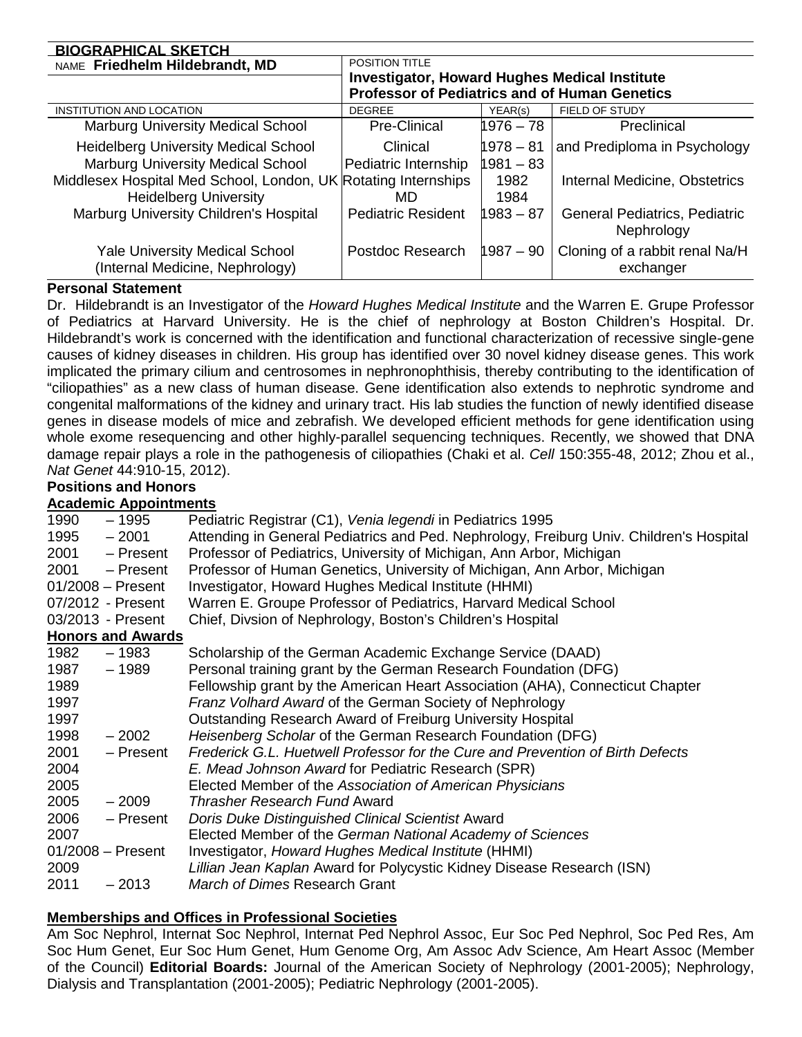| <b>BIOGRAPHICAL SKETCH</b>                                                                     |                                                      |              |                                                    |
|------------------------------------------------------------------------------------------------|------------------------------------------------------|--------------|----------------------------------------------------|
| NAME Friedhelm Hildebrandt, MD                                                                 | <b>POSITION TITLE</b>                                |              |                                                    |
|                                                                                                | <b>Investigator, Howard Hughes Medical Institute</b> |              |                                                    |
|                                                                                                | <b>Professor of Pediatrics and of Human Genetics</b> |              |                                                    |
| <b>INSTITUTION AND LOCATION</b>                                                                | <b>DEGREE</b>                                        | YEAR(s)      | FIELD OF STUDY                                     |
| Marburg University Medical School                                                              | Pre-Clinical                                         | 1976 – 78    | Preclinical                                        |
| <b>Heidelberg University Medical School</b>                                                    | Clinical                                             | 1978 - 81    | and Prediploma in Psychology                       |
| <b>Marburg University Medical School</b>                                                       | Pediatric Internship                                 | 1981 - 83    |                                                    |
| Middlesex Hospital Med School, London, UK Rotating Internships<br><b>Heidelberg University</b> | MD                                                   | 1982<br>1984 | Internal Medicine, Obstetrics                      |
| Marburg University Children's Hospital                                                         | <b>Pediatric Resident</b>                            | $1983 - 87$  | <b>General Pediatrics, Pediatric</b><br>Nephrology |
| <b>Yale University Medical School</b><br>(Internal Medicine, Nephrology)                       | Postdoc Research                                     | $1987 - 90$  | Cloning of a rabbit renal Na/H<br>exchanger        |

## **Personal Statement**

Dr. Hildebrandt is an Investigator of the *Howard Hughes Medical Institute* and the Warren E. Grupe Professor of Pediatrics at Harvard University. He is the chief of nephrology at Boston Children's Hospital. Dr. Hildebrandt's work is concerned with the identification and functional characterization of recessive single-gene causes of kidney diseases in children. His group has identified over 30 novel kidney disease genes. This work implicated the primary cilium and centrosomes in nephronophthisis, thereby contributing to the identification of "ciliopathies" as a new class of human disease. Gene identification also extends to nephrotic syndrome and congenital malformations of the kidney and urinary tract. His lab studies the function of newly identified disease genes in disease models of mice and zebrafish. We developed efficient methods for gene identification using whole exome resequencing and other highly-parallel sequencing techniques. Recently, we showed that DNA damage repair plays a role in the pathogenesis of ciliopathies (Chaki et al. *Cell* 150:355-48, 2012; Zhou et al., *Nat Genet* 44:910-15, 2012).

### **Positions and Honors**

### **Academic Appointments**

| 1990 | – 1995                   | Pediatric Registrar (C1), Venia legendi in Pediatrics 1995                              |
|------|--------------------------|-----------------------------------------------------------------------------------------|
| 1995 | $-2001$                  | Attending in General Pediatrics and Ped. Nephrology, Freiburg Univ. Children's Hospital |
| 2001 | - Present                | Professor of Pediatrics, University of Michigan, Ann Arbor, Michigan                    |
| 2001 | - Present                | Professor of Human Genetics, University of Michigan, Ann Arbor, Michigan                |
|      | $01/2008 -$ Present      | Investigator, Howard Hughes Medical Institute (HHMI)                                    |
|      | 07/2012 - Present        | Warren E. Groupe Professor of Pediatrics, Harvard Medical School                        |
|      | 03/2013 - Present        | Chief, Divsion of Nephrology, Boston's Children's Hospital                              |
|      | <b>Honors and Awards</b> |                                                                                         |
| 1982 | – 1983                   | Scholarship of the German Academic Exchange Service (DAAD)                              |
| 1987 | $-1989$                  | Personal training grant by the German Research Foundation (DFG)                         |
| 1989 |                          | Fellowship grant by the American Heart Association (AHA), Connecticut Chapter           |
| 1997 |                          | Franz Volhard Award of the German Society of Nephrology                                 |
| 1997 |                          | Outstanding Research Award of Freiburg University Hospital                              |
| 1998 | $-2002$                  | Heisenberg Scholar of the German Research Foundation (DFG)                              |
| 2001 | - Present                | Frederick G.L. Huetwell Professor for the Cure and Prevention of Birth Defects          |
| 2004 |                          | E. Mead Johnson Award for Pediatric Research (SPR)                                      |
| 2005 |                          | Elected Member of the Association of American Physicians                                |
| 2005 | $-2009$                  | <b>Thrasher Research Fund Award</b>                                                     |
| 2006 | - Present                | Doris Duke Distinguished Clinical Scientist Award                                       |
| 2007 |                          | Elected Member of the German National Academy of Sciences                               |
|      | $01/2008 -$ Present      | Investigator, Howard Hughes Medical Institute (HHMI)                                    |
| 2009 |                          | Lillian Jean Kaplan Award for Polycystic Kidney Disease Research (ISN)                  |
| 2011 | $-2013$                  | March of Dimes Research Grant                                                           |
|      |                          |                                                                                         |

### **Memberships and Offices in Professional Societies**

Am Soc Nephrol, Internat Soc Nephrol, Internat Ped Nephrol Assoc, Eur Soc Ped Nephrol, Soc Ped Res, Am Soc Hum Genet, Eur Soc Hum Genet, Hum Genome Org, Am Assoc Adv Science, Am Heart Assoc (Member of the Council) **Editorial Boards:** Journal of the American Society of Nephrology (2001-2005); Nephrology, Dialysis and Transplantation (2001-2005); Pediatric Nephrology (2001-2005).